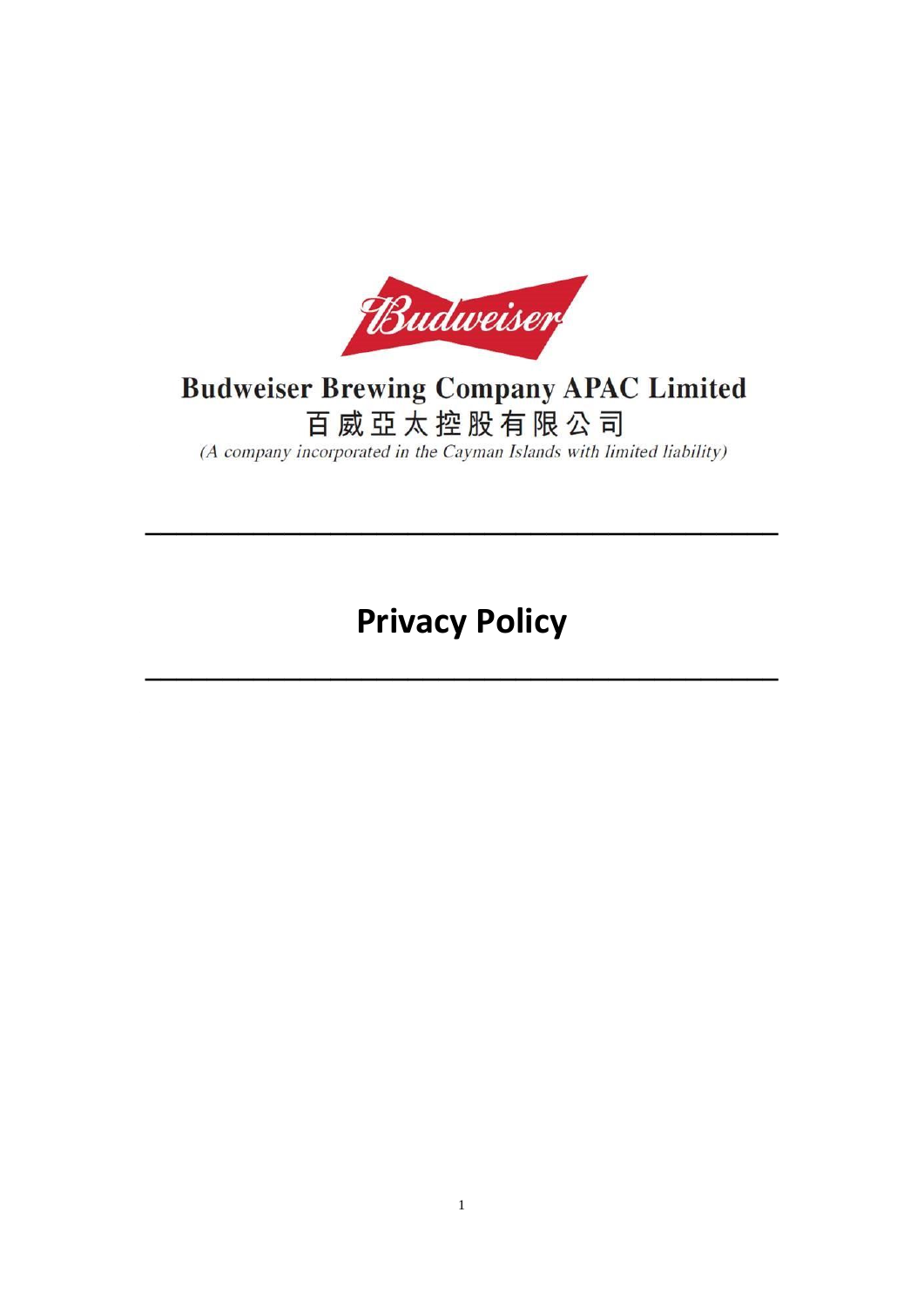

# **Budweiser Brewing Company APAC Limited** 百威亞太控股有限公司

(A company incorporated in the Cayman Islands with limited liability)

**Privacy Policy**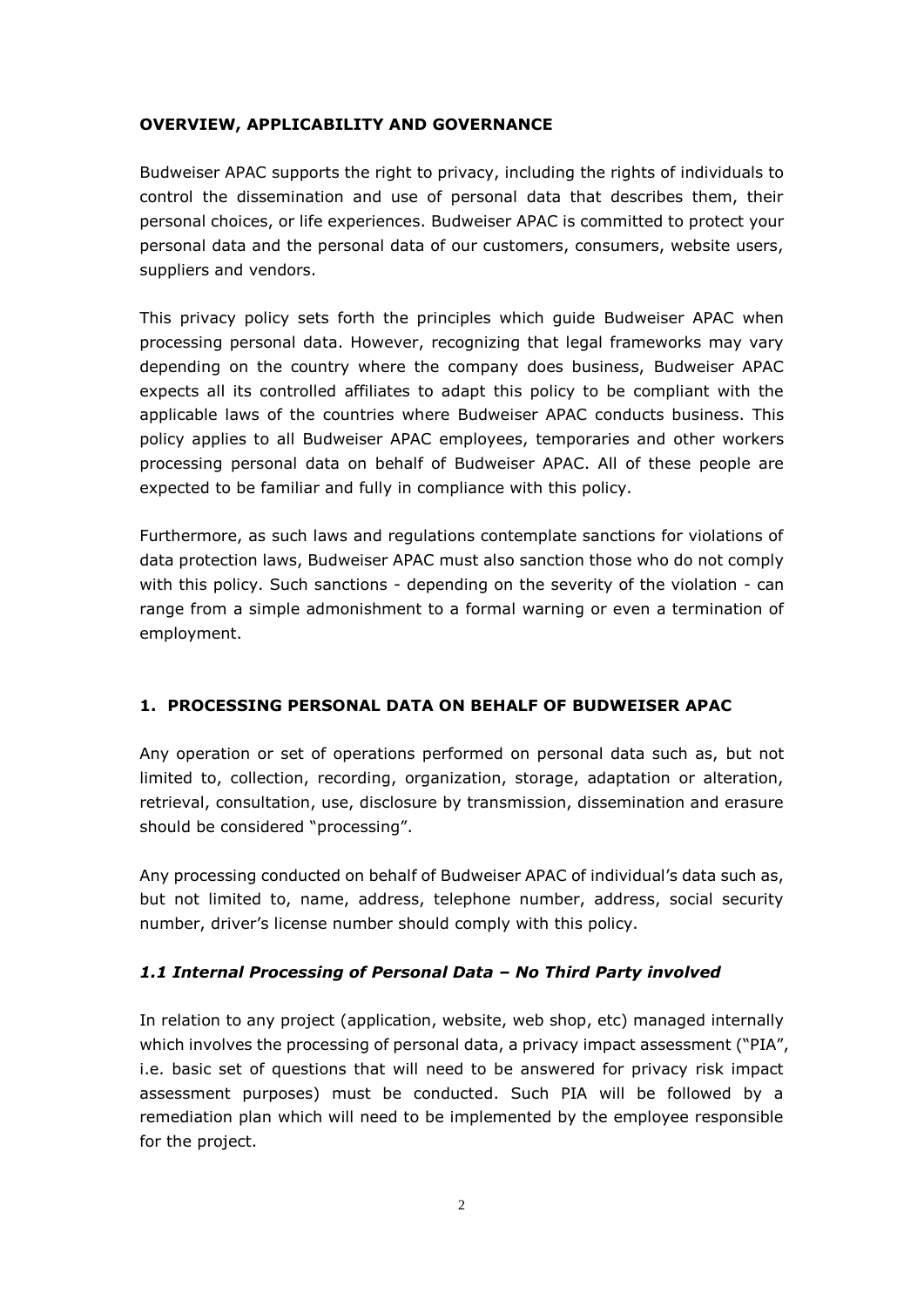## **OVERVIEW, APPLICABILITY AND GOVERNANCE**

Budweiser APAC supports the right to privacy, including the rights of individuals to control the dissemination and use of personal data that describes them, their personal choices, or life experiences. Budweiser APAC is committed to protect your personal data and the personal data of our customers, consumers, website users, suppliers and vendors.

This privacy policy sets forth the principles which guide Budweiser APAC when processing personal data. However, recognizing that legal frameworks may vary depending on the country where the company does business, Budweiser APAC expects all its controlled affiliates to adapt this policy to be compliant with the applicable laws of the countries where Budweiser APAC conducts business. This policy applies to all Budweiser APAC employees, temporaries and other workers processing personal data on behalf of Budweiser APAC. All of these people are expected to be familiar and fully in compliance with this policy.

Furthermore, as such laws and regulations contemplate sanctions for violations of data protection laws, Budweiser APAC must also sanction those who do not comply with this policy. Such sanctions - depending on the severity of the violation - can range from a simple admonishment to a formal warning or even a termination of employment.

## **1. PROCESSING PERSONAL DATA ON BEHALF OF BUDWEISER APAC**

Any operation or set of operations performed on personal data such as, but not limited to, collection, recording, organization, storage, adaptation or alteration, retrieval, consultation, use, disclosure by transmission, dissemination and erasure should be considered "processing".

Any processing conducted on behalf of Budweiser APAC of individual's data such as, but not limited to, name, address, telephone number, address, social security number, driver's license number should comply with this policy.

# *1.1 Internal Processing of Personal Data – No Third Party involved*

In relation to any project (application, website, web shop, etc) managed internally which involves the processing of personal data, a privacy impact assessment ("PIA", i.e. basic set of questions that will need to be answered for privacy risk impact assessment purposes) must be conducted. Such PIA will be followed by a remediation plan which will need to be implemented by the employee responsible for the project.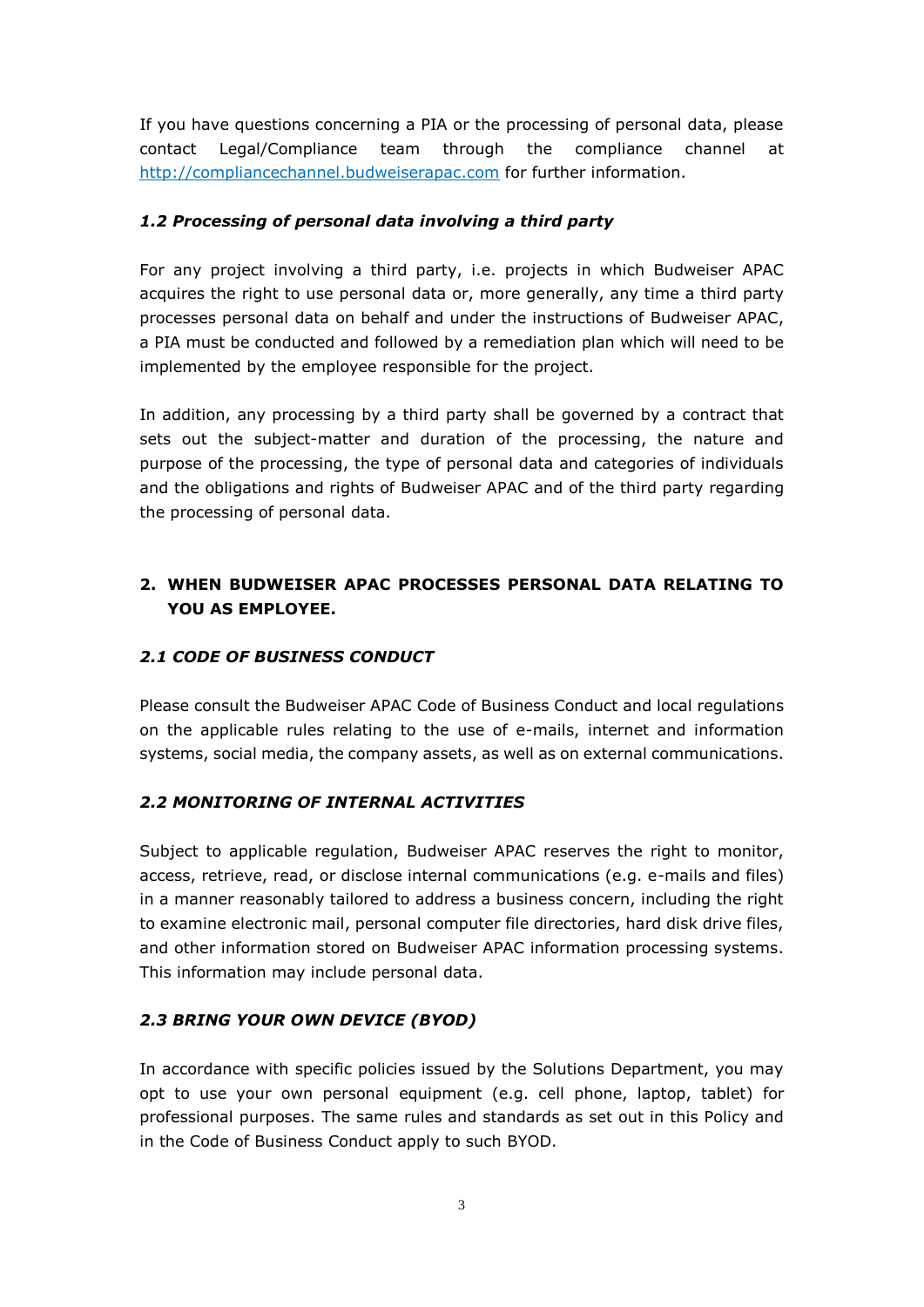If you have questions concerning a PIA or the processing of personal data, please contact Legal/Compliance team through the compliance channel at [http://compliancechannel.budweiserapac.com](http://compliancechannel.budweiserapac.com/) for further information.

# *1.2 Processing of personal data involving a third party*

For any project involving a third party, i.e. projects in which Budweiser APAC acquires the right to use personal data or, more generally, any time a third party processes personal data on behalf and under the instructions of Budweiser APAC, a PIA must be conducted and followed by a remediation plan which will need to be implemented by the employee responsible for the project.

In addition, any processing by a third party shall be governed by a contract that sets out the subject-matter and duration of the processing, the nature and purpose of the processing, the type of personal data and categories of individuals and the obligations and rights of Budweiser APAC and of the third party regarding the processing of personal data.

# **2. WHEN BUDWEISER APAC PROCESSES PERSONAL DATA RELATING TO YOU AS EMPLOYEE.**

# *2.1 CODE OF BUSINESS CONDUCT*

Please consult the Budweiser APAC Code of Business Conduct and local regulations on the applicable rules relating to the use of e-mails, internet and information systems, social media, the company assets, as well as on external communications.

## *2.2 MONITORING OF INTERNAL ACTIVITIES*

Subject to applicable regulation, Budweiser APAC reserves the right to monitor, access, retrieve, read, or disclose internal communications (e.g. e-mails and files) in a manner reasonably tailored to address a business concern, including the right to examine electronic mail, personal computer file directories, hard disk drive files, and other information stored on Budweiser APAC information processing systems. This information may include personal data.

## *2.3 BRING YOUR OWN DEVICE (BYOD)*

In accordance with specific policies issued by the Solutions Department, you may opt to use your own personal equipment (e.g. cell phone, laptop, tablet) for professional purposes. The same rules and standards as set out in this Policy and in the Code of Business Conduct apply to such BYOD.